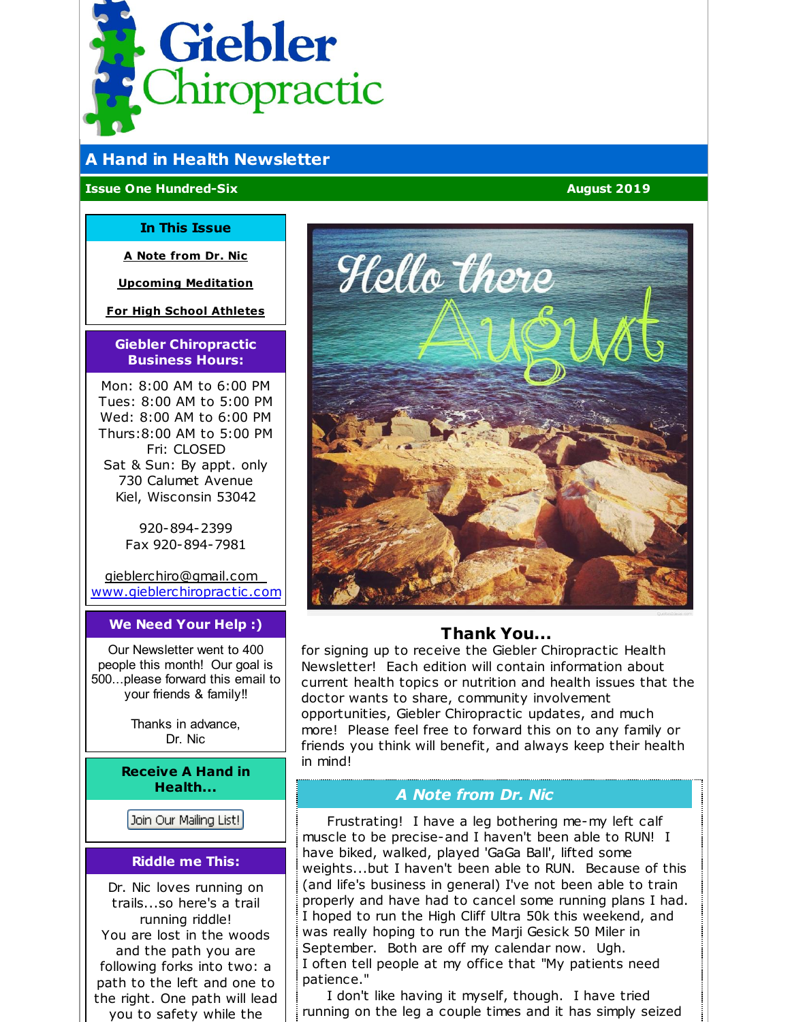<span id="page-0-0"></span>

# **A Hand in Health Newsletter**

#### **Issue One Hundred-Six August 2019**

#### **In This Issue**

**A Note [from](#page-0-0) Dr. Nic**

**Upcoming [Meditation](#page-0-0)**

**For High School [Athletes](#page-0-0)**

#### **Giebler Chiropractic Business Hours:**

Mon: 8:00 AM to 6:00 PM Tues: 8:00 AM to 5:00 PM Wed: 8:00 AM to 6:00 PM Thurs:8:00 AM to 5:00 PM Fri: CLOSED Sat & Sun: By appt. only 730 Calumet Avenue Kiel, Wisconsin 53042

> 920-894-2399 Fax 920-894-7981

[gieblerchiro@gmail.com](mailto:gieblerchiro@gmail.com) [www.gieblerchiropractic.com](http://www.gieblerchiropractic.com)

#### **We Need Your Help :)**

Our Newsletter went to 400 people this month! Our goal is 500...please forward this email to your friends & family!!

> Thanks in advance, Dr. Nic

**Receive A Hand in Health...**

Join Our Mailing List!

#### **Riddle me This:**

Dr. Nic loves running on trails...so here's a trail running riddle! You are lost in the woods and the path you are following forks into two: a path to the left and one to the right. One path will lead you to safety while the



# **Thank You...**

for signing up to receive the Giebler Chiropractic Health Newsletter! Each edition will contain information about current health topics or nutrition and health issues that the doctor wants to share, community involvement opportunities, Giebler Chiropractic updates, and much more! Please feel free to forward this on to any family or friends you think will benefit, and always keep their health in mind!

# *A Note from Dr. Nic*

Frustrating! I have a leg bothering me-my left calf muscle to be precise-and I haven't been able to RUN! I have biked, walked, played 'GaGa Ball', lifted some weights...but I haven't been able to RUN. Because of this (and life's business in general) I've not been able to train properly and have had to cancel some running plans I had. I hoped to run the High Cliff Ultra 50k this weekend, and was really hoping to run the Marji Gesick 50 Miler in September. Both are off my calendar now. Ugh. I often tell people at my office that "My patients need patience."

I don't like having it myself, though. I have tried running on the leg a couple times and it has simply seized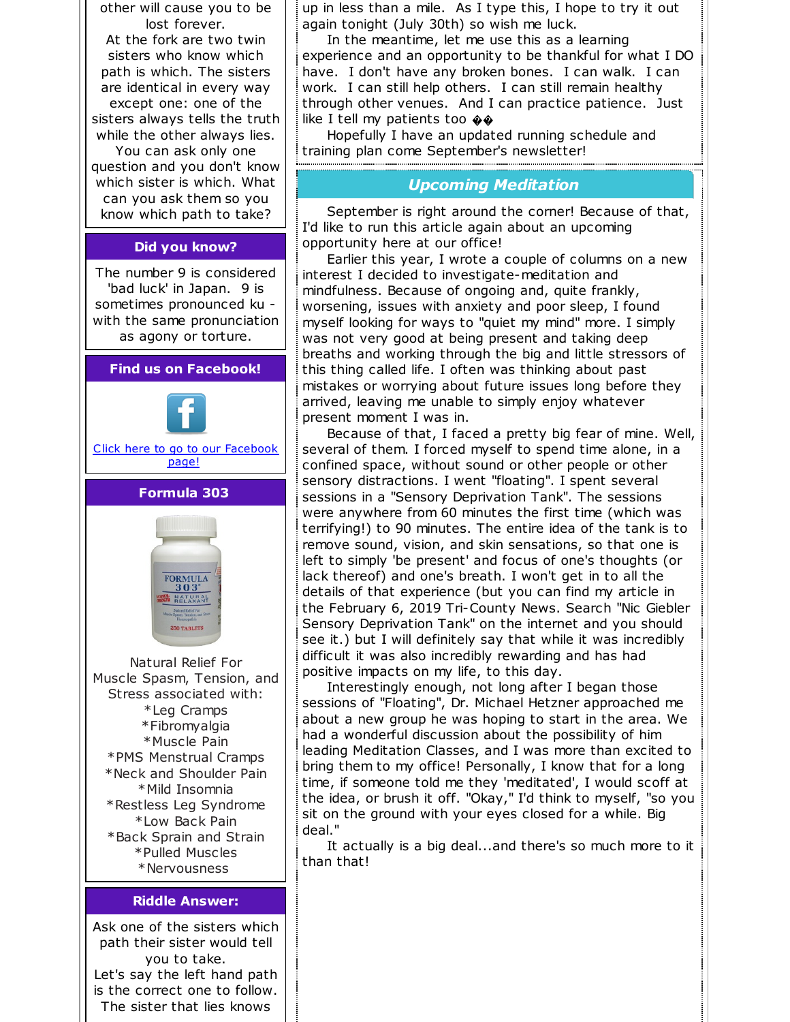

is the correct one to follow. The sister that lies knows

up in less than a mile. As I type this, I hope to try it out again tonight (July 30th) so wish me luck.

In the meantime, let me use this as a learning experience and an opportunity to be thankful for what I DO have. I don't have any broken bones. I can walk. I can work. I can still help others. I can still remain healthy through other venues. And I can practice patience. Just like I tell my patients too  $\oint$ 

Hopefully I have an updated running schedule and training plan come September's newsletter!

## *Upcoming Meditation*

September is right around the corner! Because of that, I'd like to run this article again about an upcoming opportunity here at our office!

Earlier this year, I wrote a couple of columns on a new interest I decided to investigate-meditation and mindfulness. Because of ongoing and, quite frankly, worsening, issues with anxiety and poor sleep, I found myself looking for ways to "quiet my mind" more. I simply was not very good at being present and taking deep breaths and working through the big and little stressors of this thing called life. I often was thinking about past mistakes or worrying about future issues long before they arrived, leaving me unable to simply enjoy whatever present moment I was in.

Because of that, I faced a pretty big fear of mine. Well, several of them. I forced myself to spend time alone, in a confined space, without sound or other people or other sensory distractions. I went "floating". I spent several sessions in a "Sensory Deprivation Tank". The sessions were anywhere from 60 minutes the first time (which was terrifying!) to 90 minutes. The entire idea of the tank is to remove sound, vision, and skin sensations, so that one is left to simply 'be present' and focus of one's thoughts (or lack thereof) and one's breath. I won't get in to all the details of that experience (but you can find my article in the February 6, 2019 Tri-County News. Search "Nic Giebler Sensory Deprivation Tank" on the internet and you should see it.) but I will definitely say that while it was incredibly difficult it was also incredibly rewarding and has had positive impacts on my life, to this day.

Interestingly enough, not long after I began those sessions of "Floating", Dr. Michael Hetzner approached me about a new group he was hoping to start in the area. We had a wonderful discussion about the possibility of him leading Meditation Classes, and I was more than excited to bring them to my office! Personally, I know that for a long time, if someone told me they 'meditated', I would scoff at the idea, or brush it off. "Okay," I'd think to myself, "so you sit on the ground with your eyes closed for a while. Big deal."

It actually is a big deal...and there's so much more to it than that!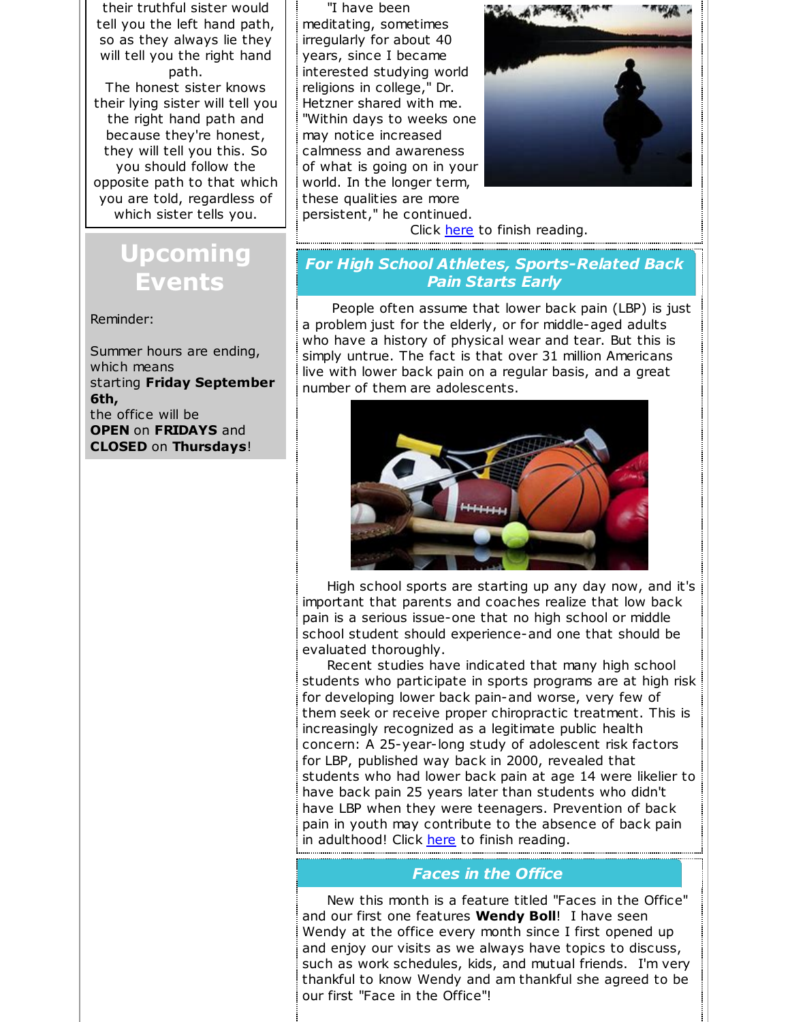their truthful sister would tell you the left hand path, so as they always lie they will tell you the right hand path. The honest sister knows their lying sister will tell you the right hand path and because they're honest, they will tell you this. So you should follow the opposite path to that which you are told, regardless of which sister tells you.

# **Upcoming Events**

Reminder:

Summer hours are ending, which means starting **Friday September 6th,** the office will be **OPEN** on **FRIDAYS** and **CLOSED** on **Thursdays**!

"I have been meditating, sometimes irregularly for about 40 years, since I became interested studying world religions in college," Dr. Hetzner shared with me. "Within days to weeks one may notice increased calmness and awareness of what is going on in your world. In the longer term, these qualities are more persistent," he continued.



Click [here](https://gieblerchiropractic.blogspot.com/2019/07/upcoming-meditation.html) to finish reading.

# *For High School Athletes, Sports-Related Back Pain Starts Early*

People often assume that lower back pain (LBP) is just a problem just for the elderly, or for middle-aged adults who have a history of physical wear and tear. But this is simply untrue. The fact is that over 31 million Americans live with lower back pain on a regular basis, and a great number of them are adolescents.



High school sports are starting up any day now, and it's important that parents and coaches realize that low back pain is a serious issue-one that no high school or middle school student should experience-and one that should be evaluated thoroughly.

Recent studies have indicated that many high school students who participate in sports programs are at high risk for developing lower back pain-and worse, very few of them seek or receive proper chiropractic treatment. This is increasingly recognized as a legitimate public health concern: A 25-year-long study of adolescent risk factors for LBP, published way back in 2000, revealed that students who had lower back pain at age 14 were likelier to have back pain 25 years later than students who didn't have LBP when they were teenagers. Prevention of back pain in youth may contribute to the absence of back pain in adulthood! Click [here](https://gieblerchiropractic.blogspot.com/2019/07/for-high-school-athletes-sports-related.html) to finish reading.

### *Faces in the Office*

New this month is a feature titled "Faces in the Office" and our first one features **Wendy Boll**! I have seen Wendy at the office every month since I first opened up and enjoy our visits as we always have topics to discuss, such as work schedules, kids, and mutual friends. I'm very thankful to know Wendy and am thankful she agreed to be our first "Face in the Office"!